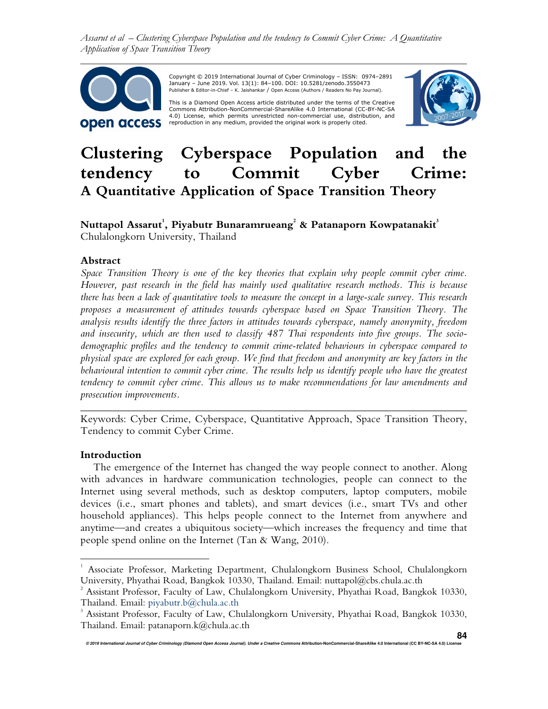*Assarut et al – Clustering Cyberspace Population and the tendency to Commit Cyber Crime: A Quantitative Application of Space Transition Theory*



 Copyright © 2019 International Journal of Cyber Criminology – ISSN: 0974–2891 January – June 2019. Vol. 13(1): 84–100. DOI: 10.5281/zenodo.3550473 Publisher & Editor-in-Chief – K. Jaishankar / Open Access (Authors / Readers No Pay Journal).

This is a Diamond Open Access article distributed under the terms of the Creative Commons Attribution-NonCommercial-ShareAlike 4.0 International (CC-BY-NC-SA 4.0) License, which permits unrestricted non-commercial use, distribution, and reproduction in any medium, provided the original work is properly cited.



# **Clustering Cyberspace Population and the tendency to Commit Cyber Crime: A Quantitative Application of Space Transition Theory**

# **Nuttapol Assarut<sup>1</sup> , Piyabutr Bunaramrueang<sup>2</sup> & Patanaporn Kowpatanakit<sup>3</sup>** Chulalongkorn University, Thailand

#### **Abstract**

*Space Transition Theory is one of the key theories that explain why people commit cyber crime. However, past research in the field has mainly used qualitative research methods. This is because there has been a lack of quantitative tools to measure the concept in a large-scale survey. This research proposes a measurement of attitudes towards cyberspace based on Space Transition Theory. The analysis results identify the three factors in attitudes towards cyberspace, namely anonymity, freedom and insecurity, which are then used to classify 487 Thai respondents into five groups. The sociodemographic profiles and the tendency to commit crime-related behaviours in cyberspace compared to physical space are explored for each group. We find that freedom and anonymity are key factors in the behavioural intention to commit cyber crime. The results help us identify people who have the greatest tendency to commit cyber crime. This allows us to make recommendations for law amendments and prosecution improvements.* 

Keywords: Cyber Crime, Cyberspace, Quantitative Approach, Space Transition Theory, Tendency to commit Cyber Crime.

*\_\_\_\_\_\_\_\_\_\_\_\_\_\_\_\_\_\_\_\_\_\_\_\_\_\_\_\_\_\_\_\_\_\_\_\_\_\_\_\_\_\_\_\_\_\_\_\_\_\_\_\_\_\_\_\_\_\_\_\_\_\_\_\_\_\_\_\_\_\_\_\_* 

#### **Introduction**

 $\overline{a}$ 

The emergence of the Internet has changed the way people connect to another. Along with advances in hardware communication technologies, people can connect to the Internet using several methods, such as desktop computers, laptop computers, mobile devices (i.e., smart phones and tablets), and smart devices (i.e., smart TVs and other household appliances). This helps people connect to the Internet from anywhere and anytime—and creates a ubiquitous society—which increases the frequency and time that people spend online on the Internet (Tan & Wang, 2010).

<sup>1</sup> Associate Professor, Marketing Department, Chulalongkorn Business School, Chulalongkorn University, Phyathai Road, Bangkok 10330, Thailand. Email: nuttapol@cbs.chula.ac.th

 $^2$  Assistant Professor, Faculty of Law, Chulalongkorn University, Phyathai Road, Bangkok 10330, Thailand. Email: piyabutr.b@chula.ac.th

<sup>&</sup>lt;sup>3</sup> Assistant Professor, Faculty of Law, Chulalongkorn University, Phyathai Road, Bangkok 10330, Thailand. Email: patanaporn.k@chula.ac.th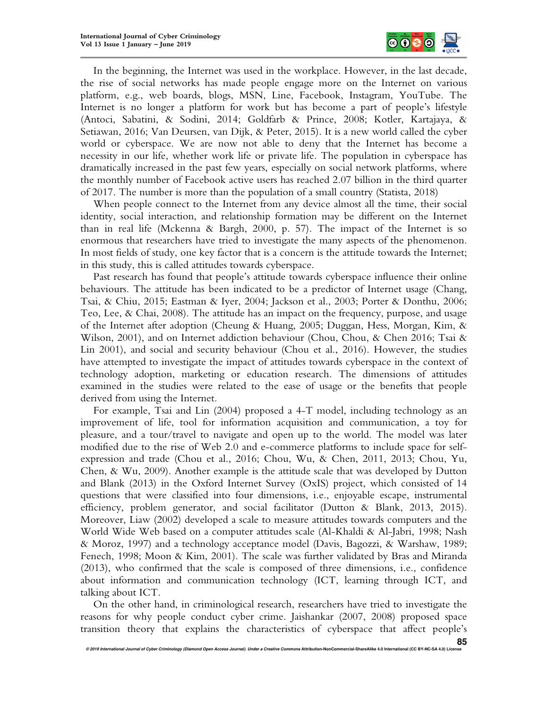

In the beginning, the Internet was used in the workplace. However, in the last decade, the rise of social networks has made people engage more on the Internet on various platform, e.g., web boards, blogs, MSN, Line, Facebook, Instagram, YouTube. The Internet is no longer a platform for work but has become a part of people's lifestyle (Antoci, Sabatini, & Sodini, 2014; Goldfarb & Prince, 2008; Kotler, Kartajaya, & Setiawan, 2016; Van Deursen, van Dijk, & Peter, 2015). It is a new world called the cyber world or cyberspace. We are now not able to deny that the Internet has become a necessity in our life, whether work life or private life. The population in cyberspace has dramatically increased in the past few years, especially on social network platforms, where the monthly number of Facebook active users has reached 2.07 billion in the third quarter of 2017. The number is more than the population of a small country (Statista, 2018)

When people connect to the Internet from any device almost all the time, their social identity, social interaction, and relationship formation may be different on the Internet than in real life (Mckenna & Bargh, 2000, p. 57). The impact of the Internet is so enormous that researchers have tried to investigate the many aspects of the phenomenon. In most fields of study, one key factor that is a concern is the attitude towards the Internet; in this study, this is called attitudes towards cyberspace.

Past research has found that people's attitude towards cyberspace influence their online behaviours. The attitude has been indicated to be a predictor of Internet usage (Chang, Tsai, & Chiu, 2015; Eastman & Iyer, 2004; Jackson et al., 2003; Porter & Donthu, 2006; Teo, Lee, & Chai, 2008). The attitude has an impact on the frequency, purpose, and usage of the Internet after adoption (Cheung & Huang, 2005; Duggan, Hess, Morgan, Kim, & Wilson, 2001), and on Internet addiction behaviour (Chou, Chou, & Chen 2016; Tsai & Lin 2001), and social and security behaviour (Chou et al., 2016). However, the studies have attempted to investigate the impact of attitudes towards cyberspace in the context of technology adoption, marketing or education research. The dimensions of attitudes examined in the studies were related to the ease of usage or the benefits that people derived from using the Internet.

For example, Tsai and Lin (2004) proposed a 4-T model, including technology as an improvement of life, tool for information acquisition and communication, a toy for pleasure, and a tour/travel to navigate and open up to the world. The model was later modified due to the rise of Web 2.0 and e-commerce platforms to include space for selfexpression and trade (Chou et al., 2016; Chou, Wu, & Chen, 2011, 2013; Chou, Yu, Chen, & Wu, 2009). Another example is the attitude scale that was developed by Dutton and Blank (2013) in the Oxford Internet Survey (OxIS) project, which consisted of 14 questions that were classified into four dimensions, i.e., enjoyable escape, instrumental efficiency, problem generator, and social facilitator (Dutton & Blank, 2013, 2015). Moreover, Liaw (2002) developed a scale to measure attitudes towards computers and the World Wide Web based on a computer attitudes scale (Al-Khaldi & Al-Jabri, 1998; Nash & Moroz, 1997) and a technology acceptance model (Davis, Bagozzi, & Warshaw, 1989; Fenech, 1998; Moon & Kim, 2001). The scale was further validated by Bras and Miranda (2013), who confirmed that the scale is composed of three dimensions, i.e., confidence about information and communication technology (ICT, learning through ICT, and talking about ICT.

On the other hand, in criminological research, researchers have tried to investigate the reasons for why people conduct cyber crime. Jaishankar (2007, 2008) proposed space transition theory that explains the characteristics of cyberspace that affect people's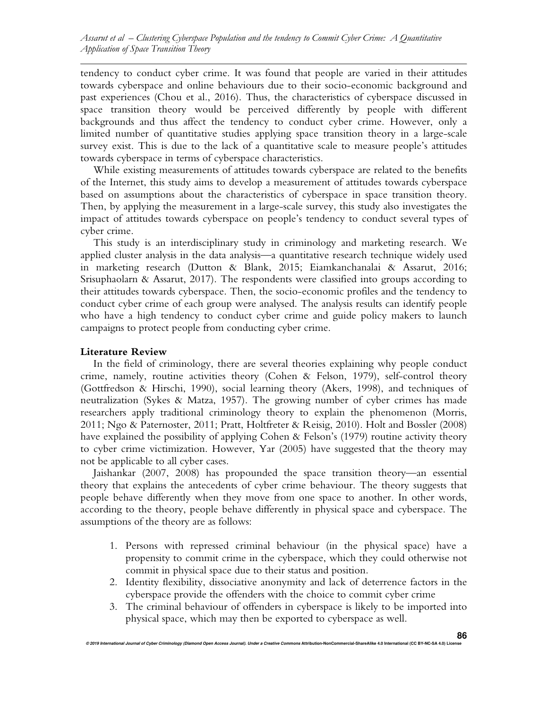tendency to conduct cyber crime. It was found that people are varied in their attitudes towards cyberspace and online behaviours due to their socio-economic background and past experiences (Chou et al., 2016). Thus, the characteristics of cyberspace discussed in space transition theory would be perceived differently by people with different backgrounds and thus affect the tendency to conduct cyber crime. However, only a limited number of quantitative studies applying space transition theory in a large-scale survey exist. This is due to the lack of a quantitative scale to measure people's attitudes towards cyberspace in terms of cyberspace characteristics.

While existing measurements of attitudes towards cyberspace are related to the benefits of the Internet, this study aims to develop a measurement of attitudes towards cyberspace based on assumptions about the characteristics of cyberspace in space transition theory. Then, by applying the measurement in a large-scale survey, this study also investigates the impact of attitudes towards cyberspace on people's tendency to conduct several types of cyber crime.

This study is an interdisciplinary study in criminology and marketing research. We applied cluster analysis in the data analysis—a quantitative research technique widely used in marketing research (Dutton & Blank, 2015; Eiamkanchanalai & Assarut, 2016; Srisuphaolarn & Assarut, 2017). The respondents were classified into groups according to their attitudes towards cyberspace. Then, the socio-economic profiles and the tendency to conduct cyber crime of each group were analysed. The analysis results can identify people who have a high tendency to conduct cyber crime and guide policy makers to launch campaigns to protect people from conducting cyber crime.

#### **Literature Review**

In the field of criminology, there are several theories explaining why people conduct crime, namely, routine activities theory (Cohen & Felson, 1979), self-control theory (Gottfredson & Hirschi, 1990), social learning theory (Akers, 1998), and techniques of neutralization (Sykes & Matza, 1957). The growing number of cyber crimes has made researchers apply traditional criminology theory to explain the phenomenon (Morris, 2011; Ngo & Paternoster, 2011; Pratt, Holtfreter & Reisig, 2010). Holt and Bossler (2008) have explained the possibility of applying Cohen & Felson's (1979) routine activity theory to cyber crime victimization. However, Yar (2005) have suggested that the theory may not be applicable to all cyber cases.

Jaishankar (2007, 2008) has propounded the space transition theory—an essential theory that explains the antecedents of cyber crime behaviour. The theory suggests that people behave differently when they move from one space to another. In other words, according to the theory, people behave differently in physical space and cyberspace. The assumptions of the theory are as follows:

- 1. Persons with repressed criminal behaviour (in the physical space) have a propensity to commit crime in the cyberspace, which they could otherwise not commit in physical space due to their status and position.
- 2. Identity flexibility, dissociative anonymity and lack of deterrence factors in the cyberspace provide the offenders with the choice to commit cyber crime
- 3. The criminal behaviour of offenders in cyberspace is likely to be imported into physical space, which may then be exported to cyberspace as well.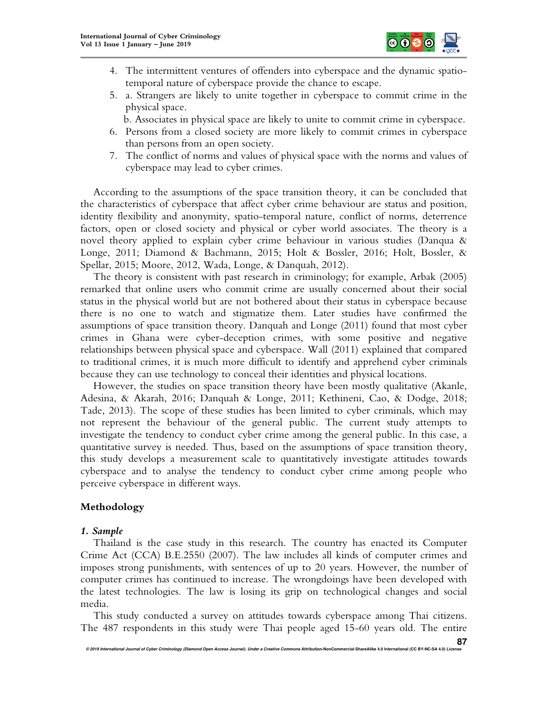

- 4. The intermittent ventures of offenders into cyberspace and the dynamic spatiotemporal nature of cyberspace provide the chance to escape.
- 5. a. Strangers are likely to unite together in cyberspace to commit crime in the physical space.
	- b. Associates in physical space are likely to unite to commit crime in cyberspace.
- 6. Persons from a closed society are more likely to commit crimes in cyberspace than persons from an open society.
- 7. The conflict of norms and values of physical space with the norms and values of cyberspace may lead to cyber crimes.

According to the assumptions of the space transition theory, it can be concluded that the characteristics of cyberspace that affect cyber crime behaviour are status and position, identity flexibility and anonymity, spatio-temporal nature, conflict of norms, deterrence factors, open or closed society and physical or cyber world associates. The theory is a novel theory applied to explain cyber crime behaviour in various studies (Danqua & Longe, 2011; Diamond & Bachmann, 2015; Holt & Bossler, 2016; Holt, Bossler, & Spellar, 2015; Moore, 2012, Wada, Longe, & Danquah, 2012).

The theory is consistent with past research in criminology; for example, Arbak (2005) remarked that online users who commit crime are usually concerned about their social status in the physical world but are not bothered about their status in cyberspace because there is no one to watch and stigmatize them. Later studies have confirmed the assumptions of space transition theory. Danquah and Longe (2011) found that most cyber crimes in Ghana were cyber-deception crimes, with some positive and negative relationships between physical space and cyberspace. Wall (2011) explained that compared to traditional crimes, it is much more difficult to identify and apprehend cyber criminals because they can use technology to conceal their identities and physical locations.

However, the studies on space transition theory have been mostly qualitative (Akanle, Adesina, & Akarah, 2016; Danquah & Longe, 2011; Kethineni, Cao, & Dodge, 2018; Tade, 2013). The scope of these studies has been limited to cyber criminals, which may not represent the behaviour of the general public. The current study attempts to investigate the tendency to conduct cyber crime among the general public. In this case, a quantitative survey is needed. Thus, based on the assumptions of space transition theory, this study develops a measurement scale to quantitatively investigate attitudes towards cyberspace and to analyse the tendency to conduct cyber crime among people who perceive cyberspace in different ways.

# **Methodology**

# *1. Sample*

Thailand is the case study in this research. The country has enacted its Computer Crime Act (CCA) B.E.2550 (2007). The law includes all kinds of computer crimes and imposes strong punishments, with sentences of up to 20 years. However, the number of computer crimes has continued to increase. The wrongdoings have been developed with the latest technologies. The law is losing its grip on technological changes and social media.

This study conducted a survey on attitudes towards cyberspace among Thai citizens. The 487 respondents in this study were Thai people aged 15-60 years old. The entire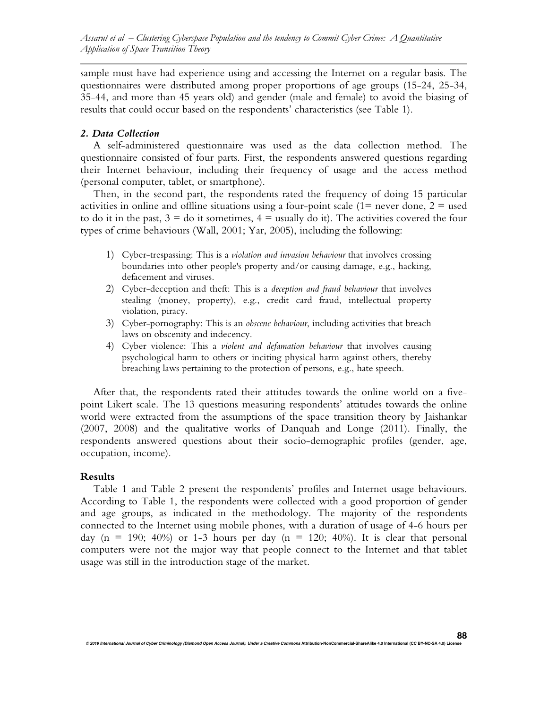sample must have had experience using and accessing the Internet on a regular basis. The questionnaires were distributed among proper proportions of age groups (15-24, 25-34, 35-44, and more than 45 years old) and gender (male and female) to avoid the biasing of results that could occur based on the respondents' characteristics (see Table 1).

#### *2. Data Collection*

A self-administered questionnaire was used as the data collection method. The questionnaire consisted of four parts. First, the respondents answered questions regarding their Internet behaviour, including their frequency of usage and the access method (personal computer, tablet, or smartphone).

Then, in the second part, the respondents rated the frequency of doing 15 particular activities in online and offline situations using a four-point scale  $(1=$  never done,  $2=$  used to do it in the past,  $3 =$  do it sometimes,  $4 =$  usually do it). The activities covered the four types of crime behaviours (Wall, 2001; Yar, 2005), including the following:

- 1) Cyber-trespassing: This is a *violation and invasion behaviour* that involves crossing boundaries into other people's property and/or causing damage, e.g., hacking, defacement and viruses.
- 2) Cyber-deception and theft: This is a *deception and fraud behaviour* that involves stealing (money, property), e.g., credit card fraud, intellectual property violation, piracy.
- 3) Cyber-pornography: This is an *obscene behaviour*, including activities that breach laws on obscenity and indecency.
- 4) Cyber violence: This a *violent and defamation behaviour* that involves causing psychological harm to others or inciting physical harm against others, thereby breaching laws pertaining to the protection of persons, e.g., hate speech.

After that, the respondents rated their attitudes towards the online world on a fivepoint Likert scale. The 13 questions measuring respondents' attitudes towards the online world were extracted from the assumptions of the space transition theory by Jaishankar (2007, 2008) and the qualitative works of Danquah and Longe (2011). Finally, the respondents answered questions about their socio-demographic profiles (gender, age, occupation, income).

#### **Results**

Table 1 and Table 2 present the respondents' profiles and Internet usage behaviours. According to Table 1, the respondents were collected with a good proportion of gender and age groups, as indicated in the methodology. The majority of the respondents connected to the Internet using mobile phones, with a duration of usage of 4-6 hours per day (n = 190; 40%) or 1-3 hours per day (n = 120; 40%). It is clear that personal computers were not the major way that people connect to the Internet and that tablet usage was still in the introduction stage of the market.

**88**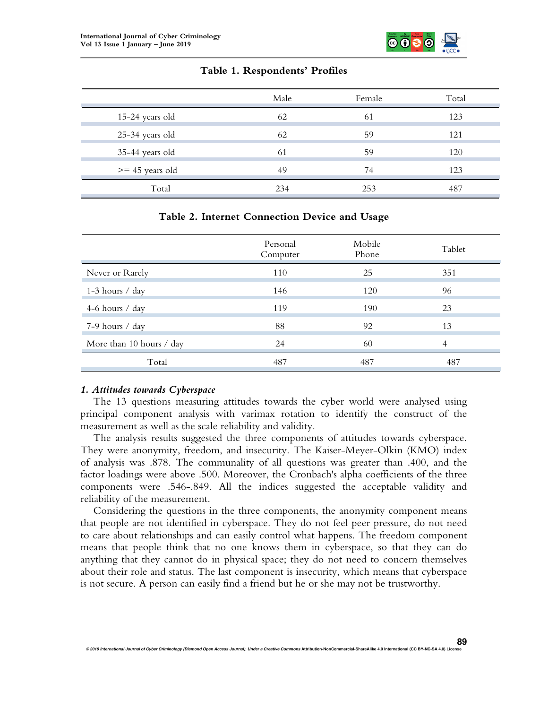

# **Table 1. Respondents' Profiles**

|                   | Male | Female | Total |
|-------------------|------|--------|-------|
| 15-24 years old   | 62   | 61     | 123   |
| 25-34 years old   | 62   | 59     | 121   |
| 35-44 years old   | 61   | 59     | 120   |
| $>= 45$ years old | 49   | 74     | 123   |
| Total             | 234  | 253    | 487   |

# **Table 2. Internet Connection Device and Usage**

|                          | Personal<br>Computer | Mobile<br>Phone | Tablet |
|--------------------------|----------------------|-----------------|--------|
| Never or Rarely          | 110                  | 25              | 351    |
| 1-3 hours $\prime$ day   | 146                  | 120             | 96     |
| 4-6 hours $\prime$ day   | 119                  | 190             | 23     |
| 7-9 hours / day          | 88                   | 92              | 13     |
| More than 10 hours / day | 24                   | 60              | 4      |
| Total                    | 487                  | 487             | 487    |

#### *1. Attitudes towards Cyberspace*

The 13 questions measuring attitudes towards the cyber world were analysed using principal component analysis with varimax rotation to identify the construct of the measurement as well as the scale reliability and validity.

The analysis results suggested the three components of attitudes towards cyberspace. They were anonymity, freedom, and insecurity. The Kaiser-Meyer-Olkin (KMO) index of analysis was .878. The communality of all questions was greater than .400, and the factor loadings were above .500. Moreover, the Cronbach's alpha coefficients of the three components were .546-.849. All the indices suggested the acceptable validity and reliability of the measurement.

Considering the questions in the three components, the anonymity component means that people are not identified in cyberspace. They do not feel peer pressure, do not need to care about relationships and can easily control what happens. The freedom component means that people think that no one knows them in cyberspace, so that they can do anything that they cannot do in physical space; they do not need to concern themselves about their role and status. The last component is insecurity, which means that cyberspace is not secure. A person can easily find a friend but he or she may not be trustworthy.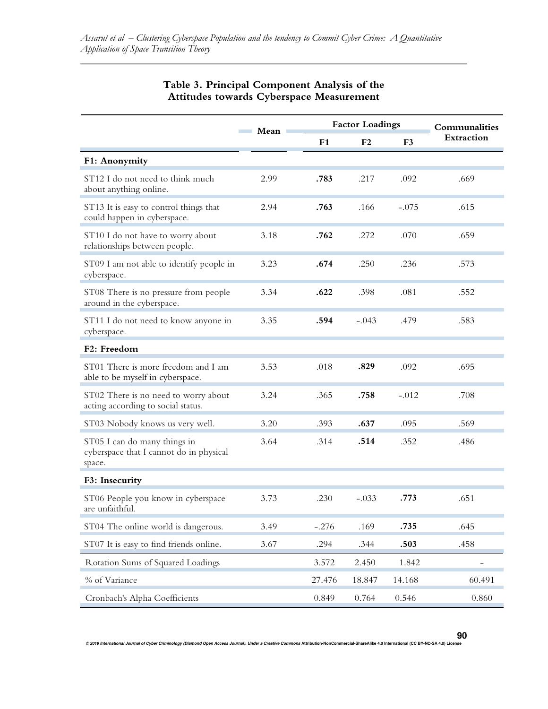|                                                                                   | Mean |         | <b>Factor Loadings</b> | Communalities  |            |  |
|-----------------------------------------------------------------------------------|------|---------|------------------------|----------------|------------|--|
|                                                                                   |      | F1      | F <sub>2</sub>         | F <sub>3</sub> | Extraction |  |
| F1: Anonymity                                                                     |      |         |                        |                |            |  |
| ST12 I do not need to think much<br>about anything online.                        | 2.99 | .783    | .217                   | .092           | .669       |  |
| ST13 It is easy to control things that<br>could happen in cyberspace.             | 2.94 | .763    | .166                   | $-.075$        | .615       |  |
| ST10 I do not have to worry about<br>relationships between people.                | 3.18 | .762    | .272                   | .070           | .659       |  |
| ST09 I am not able to identify people in<br>cyberspace.                           | 3.23 | .674    | .250                   | .236           | .573       |  |
| ST08 There is no pressure from people<br>around in the cyberspace.                | 3.34 | .622    | .398                   | .081           | .552       |  |
| ST11 I do not need to know anyone in<br>cyberspace.                               | 3.35 | .594    | $-.043$                | .479           | .583       |  |
| F2: Freedom                                                                       |      |         |                        |                |            |  |
| ST01 There is more freedom and I am<br>able to be myself in cyberspace.           | 3.53 | .018    | .829                   | .092           | .695       |  |
| ST02 There is no need to worry about<br>acting according to social status.        | 3.24 | .365    | .758                   | $-.012$        | .708       |  |
| ST03 Nobody knows us very well.                                                   | 3.20 | .393    | .637                   | .095           | .569       |  |
| ST05 I can do many things in<br>cyberspace that I cannot do in physical<br>space. | 3.64 | .314    | .514                   | .352           | .486       |  |
| F3: Insecurity                                                                    |      |         |                        |                |            |  |
| ST06 People you know in cyberspace<br>are unfaithful.                             | 3.73 | .230    | $-.033$                | .773           | .651       |  |
| ST04 The online world is dangerous.                                               | 3.49 | $-.276$ | .169                   | .735           | .645       |  |
| ST07 It is easy to find friends online.                                           | 3.67 | .294    | .344                   | .503           | .458       |  |
| Rotation Sums of Squared Loadings                                                 |      | 3.572   | 2.450                  | 1.842          |            |  |
| % of Variance                                                                     |      | 27.476  | 18.847                 | 14.168         | 60.491     |  |
| Cronbach's Alpha Coefficients                                                     |      | 0.849   | 0.764                  | 0.546          | 0.860      |  |

#### **Table 3. Principal Component Analysis of the Attitudes towards Cyberspace Measurement**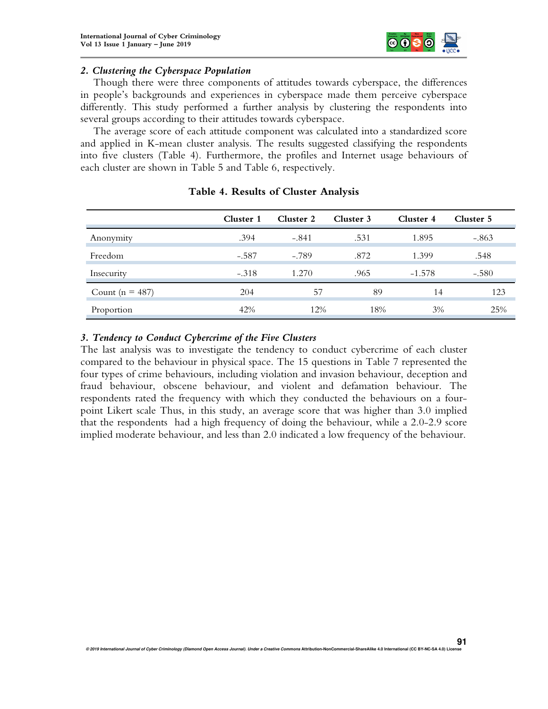

#### *2. Clustering the Cyberspace Population*

Though there were three components of attitudes towards cyberspace, the differences in people's backgrounds and experiences in cyberspace made them perceive cyberspace differently. This study performed a further analysis by clustering the respondents into several groups according to their attitudes towards cyberspace.

The average score of each attitude component was calculated into a standardized score and applied in K-mean cluster analysis. The results suggested classifying the respondents into five clusters (Table 4). Furthermore, the profiles and Internet usage behaviours of each cluster are shown in Table 5 and Table 6, respectively.

|                     | Cluster 1 | Cluster 2 | Cluster 3 | Cluster 4 | Cluster 5 |
|---------------------|-----------|-----------|-----------|-----------|-----------|
| Anonymity           | .394      | $-.841$   | .531      | 1.895     | $-.863$   |
| Freedom             | $-.587$   | $-.789$   | .872      | 1.399     | .548      |
| Insecurity          | $-.318$   | 1.270     | .965      | $-1.578$  | $-.580$   |
| Count ( $n = 487$ ) | 204       | 57        | 89        | 14        | 123       |
| Proportion          | 42%       | 12%       | 18%       | 3%        | 25%       |

# **Table 4. Results of Cluster Analysis**

#### *3. Tendency to Conduct Cybercrime of the Five Clusters*

The last analysis was to investigate the tendency to conduct cybercrime of each cluster compared to the behaviour in physical space. The 15 questions in Table 7 represented the four types of crime behaviours, including violation and invasion behaviour, deception and fraud behaviour, obscene behaviour, and violent and defamation behaviour. The respondents rated the frequency with which they conducted the behaviours on a fourpoint Likert scale Thus, in this study, an average score that was higher than 3.0 implied that the respondents had a high frequency of doing the behaviour, while a 2.0-2.9 score implied moderate behaviour, and less than 2.0 indicated a low frequency of the behaviour.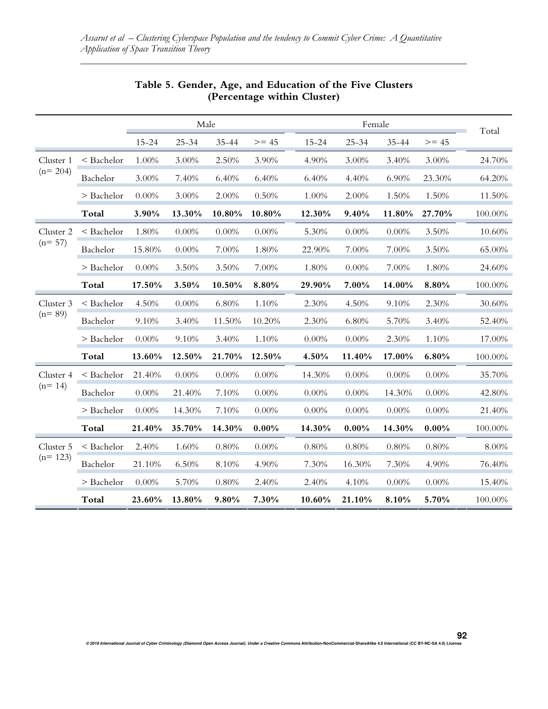|           |            | Male      |           |          | Female  |           |           |           |          |         |  |
|-----------|------------|-----------|-----------|----------|---------|-----------|-----------|-----------|----------|---------|--|
|           |            | $15 - 24$ | $25 - 34$ | 35-44    | $>= 45$ | $15 - 24$ | $25 - 34$ | $35 - 44$ | $>= 45$  | Total   |  |
| Cluster 1 | < Bachelor | 1.00%     | 3.00%     | 2.50%    | 3.90%   | 4.90%     | 3.00%     | 3.40%     | 3.00%    | 24.70%  |  |
| $(n=204)$ | Bachelor   | 3.00%     | 7.40%     | 6.40%    | 6.40%   | 6.40%     | 4.40%     | 6.90%     | 23.30%   | 64.20%  |  |
|           | > Bachelor | $0.00\%$  | 3.00%     | 2.00%    | 0.50%   | 1.00%     | 2.00%     | 1.50%     | 1.50%    | 11.50%  |  |
|           | Total      | 3.90%     | 13.30%    | 10.80%   | 10.80%  | 12.30%    | 9.40%     | 11.80%    | 27.70%   | 100.00% |  |
| Cluster 2 | < Bachelor | 1.80%     | 0.00%     | $0.00\%$ | 0.00%   | 5.30%     | 0.00%     | 0.00%     | 3.50%    | 10.60%  |  |
| $(n=57)$  | Bachelor   | 15.80%    | 0.00%     | 7.00%    | 1.80%   | 22.90%    | 7.00%     | 7.00%     | 3.50%    | 65.00%  |  |
|           | > Bachelor | $0.00\%$  | 3.50%     | 3.50%    | 7.00%   | 1.80%     | $0.00\%$  | 7.00%     | 1.80%    | 24.60%  |  |
|           | Total      | 17.50%    | 3.50%     | 10.50%   | 8.80%   | 29.90%    | 7.00%     | 14.00%    | 8.80%    | 100.00% |  |
| Cluster 3 | < Bachelor | 4.50%     | 0.00%     | 6.80%    | 1.10%   | 2.30%     | 4.50%     | 9.10%     | 2.30%    | 30.60%  |  |
| $(n=89)$  | Bachelor   | 9.10%     | 3.40%     | 11.50%   | 10.20%  | 2.30%     | 6.80%     | 5.70%     | 3.40%    | 52.40%  |  |
|           | > Bachelor | $0.00\%$  | 9.10%     | 3.40%    | 1.10%   | 0.00%     | 0.00%     | 2.30%     | 1.10%    | 17.00%  |  |
|           | Total      | 13.60%    | 12.50%    | 21.70%   | 12.50%  | 4.50%     | 11.40%    | 17.00%    | 6.80%    | 100.00% |  |
| Cluster 4 | < Bachelor | 21.40%    | $0.00\%$  | $0.00\%$ | 0.00%   | 14.30%    | $0.00\%$  | $0.00\%$  | $0.00\%$ | 35.70%  |  |
| $(n=14)$  | Bachelor   | $0.00\%$  | 21.40%    | 7.10%    | 0.00%   | $0.00\%$  | 0.00%     | 14.30%    | 0.00%    | 42.80%  |  |
|           | > Bachelor | 0.00%     | 14.30%    | 7.10%    | 0.00%   | $0.00\%$  | 0.00%     | 0.00%     | 0.00%    | 21.40%  |  |
|           | Total      | 21.40%    | 35.70%    | 14.30%   | 0.00%   | 14.30%    | $0.00\%$  | 14.30%    | $0.00\%$ | 100.00% |  |
| Cluster 5 | < Bachelor | 2.40%     | 1.60%     | 0.80%    | 0.00%   | 0.80%     | 0.80%     | 0.80%     | 0.80%    | 8.00%   |  |
| $(n=123)$ | Bachelor   | 21.10%    | 6.50%     | 8.10%    | 4.90%   | 7.30%     | 16.30%    | 7.30%     | 4.90%    | 76.40%  |  |
|           | > Bachelor | $0.00\%$  | 5.70%     | 0.80%    | 2.40%   | 2.40%     | 4.10%     | 0.00%     | $0.00\%$ | 15.40%  |  |
|           | Total      | 23.60%    | 13.80%    | 9.80%    | 7.30%   | 10.60%    | 21.10%    | 8.10%     | 5.70%    | 100.00% |  |

# **Table 5. Gender, Age, and Education of the Five Clusters (Percentage within Cluster)**

**© 2019 International Journal of Cyber Criminology (Diamond Open Access Journal). Under a Creative Commons Attribution-NonCommercial-ShareAlike 4.0 International (CC BY-NC-SA 4.0) License** 

**92**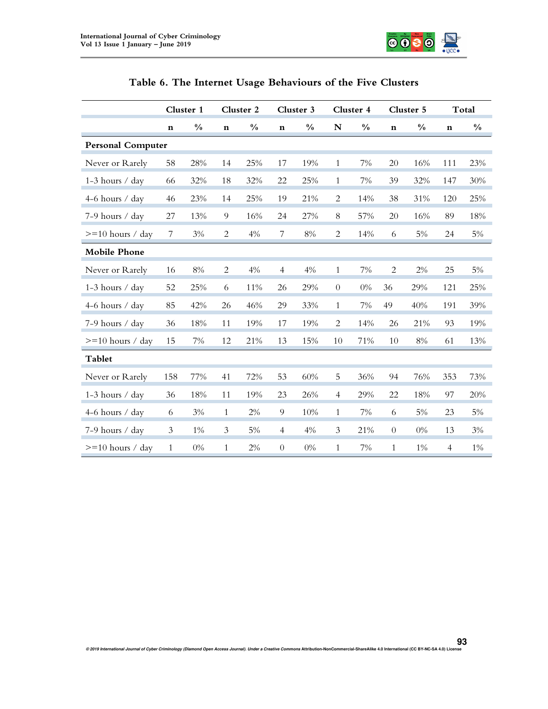

|                          | Cluster 1      |               |                | Cluster 2     |                  | Cluster 3     |                | Cluster 4     |                  | Cluster 5     | Total          |               |  |
|--------------------------|----------------|---------------|----------------|---------------|------------------|---------------|----------------|---------------|------------------|---------------|----------------|---------------|--|
|                          | $\mathbf n$    | $\frac{0}{0}$ | $\mathbf n$    | $\frac{0}{0}$ | $\mathbf n$      | $\frac{0}{0}$ | N              | $\frac{0}{0}$ | $\mathbf n$      | $\frac{0}{0}$ | $\mathbf n$    | $\frac{0}{0}$ |  |
| <b>Personal Computer</b> |                |               |                |               |                  |               |                |               |                  |               |                |               |  |
| Never or Rarely          | 58             | 28%           | 14             | 25%           | 17               | 19%           | 1              | 7%            | 20               | 16%           | 111            | 23%           |  |
| 1-3 hours / day          | 66             | 32%           | 18             | 32%           | 22               | 25%           | $\mathbf{1}$   | 7%            | 39               | 32%           | 147            | 30%           |  |
| 4-6 hours / day          | 46             | 23%           | 14             | 25%           | 19               | 21%           | $\mathbf{2}$   | 14%           | 38               | 31%           | 120            | 25%           |  |
| 7-9 hours / day          | 27             | 13%           | $\overline{9}$ | 16%           | 24               | 27%           | $8\,$          | 57%           | 20               | 16%           | 89             | 18%           |  |
| $>=10$ hours / day       | 7              | $3\%$         | 2              | 4%            | 7                | $8\%$         | 2              | 14%           | 6                | 5%            | 24             | $5\%$         |  |
| <b>Mobile Phone</b>      |                |               |                |               |                  |               |                |               |                  |               |                |               |  |
| Never or Rarely          | 16             | $8\%$         | $\overline{c}$ | 4%            | $\overline{4}$   | 4%            | $\mathbf{1}$   | 7%            | $\mathbf{2}$     | 2%            | 25             | $5\%$         |  |
| 1-3 hours / day          | 52             | 25%           | 6              | 11%           | 26               | 29%           | $\theta$       | 0%            | 36               | 29%           | 121            | 25%           |  |
| 4-6 hours / day          | 85             | 42%           | 26             | 46%           | 29               | 33%           | $\mathbf{1}$   | 7%            | 49               | 40%           | 191            | 39%           |  |
| 7-9 hours / day          | 36             | 18%           | 11             | 19%           | 17               | 19%           | 2              | 14%           | 26               | 21%           | 93             | 19%           |  |
| $>=10$ hours / day       | 15             | $7\%$         | 12             | 21%           | 13               | 15%           | 10             | 71%           | 10               | $8\%$         | 61             | 13%           |  |
| Tablet                   |                |               |                |               |                  |               |                |               |                  |               |                |               |  |
| Never or Rarely          | 158            | 77%           | 41             | 72%           | 53               | 60%           | 5              | 36%           | 94               | 76%           | 353            | 73%           |  |
| 1-3 hours / day          | 36             | 18%           | 11             | 19%           | 23               | 26%           | $\overline{4}$ | 29%           | 22               | 18%           | 97             | 20%           |  |
| 4-6 hours / day          | 6              | 3%            | $\mathbf{1}$   | 2%            | $\overline{9}$   | 10%           | $\mathbf{1}$   | 7%            | 6                | $5\%$         | 23             | $5\%$         |  |
| 7-9 hours / day          | $\mathfrak{Z}$ | $1\%$         | $\mathfrak{Z}$ | $5\%$         | $\overline{4}$   | $4\%$         | $\mathfrak{Z}$ | 21%           | $\boldsymbol{0}$ | $0\%$         | 13             | 3%            |  |
| $>=10$ hours / day       | $\mathbf{1}$   | $0\%$         | $\mathbf{1}$   | 2%            | $\boldsymbol{0}$ | $0\%$         | $\mathbf{1}$   | 7%            | $\mathbf{1}$     | $1\%$         | $\overline{4}$ | $1\%$         |  |

| Table 6. The Internet Usage Behaviours of the Five Clusters |  |  |  |  |  |  |  |  |  |
|-------------------------------------------------------------|--|--|--|--|--|--|--|--|--|
|-------------------------------------------------------------|--|--|--|--|--|--|--|--|--|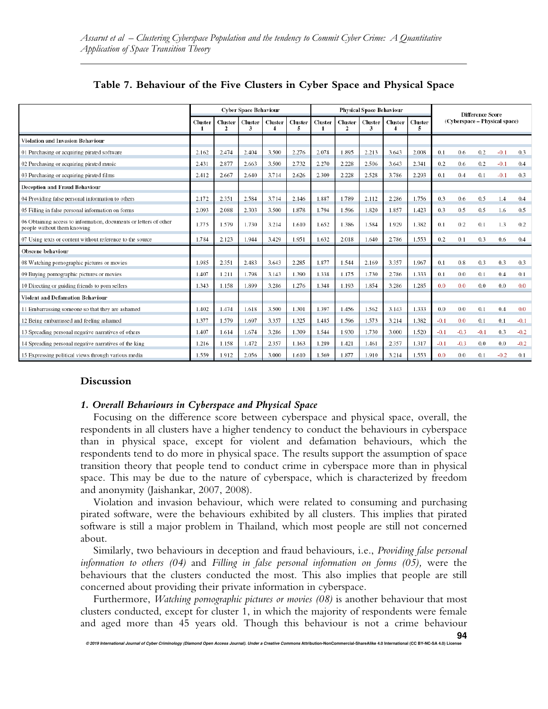|                                                                                                  |         |                         | <b>Cyber Space Behaviour</b> |              |                     | <b>Physical Space Behaviour</b> |                     |                     |                     |                     |        |        | <b>Difference Score</b> |                               |        |
|--------------------------------------------------------------------------------------------------|---------|-------------------------|------------------------------|--------------|---------------------|---------------------------------|---------------------|---------------------|---------------------|---------------------|--------|--------|-------------------------|-------------------------------|--------|
|                                                                                                  | Cluster | Cluster<br>$\mathbf{2}$ | <b>Cluster</b><br>3          | Cluster<br>4 | <b>Cluster</b><br>5 | Cluster<br>$\mathbf{1}$         | <b>Cluster</b><br>2 | <b>Cluster</b><br>3 | <b>Cluster</b><br>4 | <b>Cluster</b><br>5 |        |        |                         | (Cyberspace - Physical space) |        |
| Violation and Invasion Behaviour                                                                 |         |                         |                              |              |                     |                                 |                     |                     |                     |                     |        |        |                         |                               |        |
| 01 Purchasing or acquiring pirated software                                                      | 2.162   | 2.474                   | 2.404                        | 3.500        | 2.276               | 2.078                           | 1.895               | 2.213               | 3.643               | 2.008               | 0.1    | 0.6    | 0.2                     | $-0.1$                        | 0.3    |
| 02 Purchasing or acquiring pirated music                                                         | 2.431   | 2.877                   | 2.663                        | 3.500        | 2.732               | 2.270                           | 2.228               | 2.506               | 3.643               | 2.341               | 0.2    | 0.6    | 0.2                     | $-0.1$                        | 0.4    |
| 03 Purchasing or acquiring pirated films                                                         | 2.412   | 2.667                   | 2.640                        | 3.714        | 2.626               | 2.309                           | 2.228               | 2.528               | 3.786               | 2.293               | 0.1    | 0.4    | 0.1                     | $-0.1$                        | 0.3    |
| <b>Deception and Fraud Behaviour</b>                                                             |         |                         |                              |              |                     |                                 |                     |                     |                     |                     |        |        |                         |                               |        |
| 04 Providing false personal information to others                                                | 2.172   | 2.351                   | 2.584                        | 3.714        | 2.146               | 1.887                           | 1.789               | 2.112               | 2.286               | 1.756               | 0.3    | 0.6    | 0.5                     | 1.4                           | 0.4    |
| 05 Filling in false personal information on forms                                                | 2.093   | 2.088                   | 2.303                        | 3.500        | 1.878               | 1.794                           | 1.596               | 1.820               | 1.857               | 1.423               | 0.3    | 0.5    | 0.5                     | 1.6                           | 0.5    |
| 06 Obtaining access to information, documents or letters of other<br>people without them knowing | 1.775   | 1.579                   | 1.730                        | 3.214        | 1.610               | 1.652                           | 1.386               | 1.584               | 1.929               | 1.382               | 0.1    | 0.2    | 0.1                     | 1.3                           | 0.2    |
| 07 Using texts or content without reference to the source                                        | 1.784   | 2.123                   | 1.944                        | 3.429        | 1.951               | 1.632                           | 2.018               | 1.640               | 2.786               | 1.553               | 0.2    | 0.1    | 0.3                     | 0.6                           | 0.4    |
| Obscene behaviour                                                                                |         |                         |                              |              |                     |                                 |                     |                     |                     |                     |        |        |                         |                               |        |
| 08 Watching pornographic pictures or movies                                                      | 1.985   | 2.351                   | 2.483                        | 3.643        | 2.285               | 1.877                           | 1.544               | 2.169               | 3.357               | 1.967               | 0.1    | 0.8    | 0.3                     | 0.3                           | 0.3    |
| 09 Buying pornographic pictures or movies                                                        | 1.407   | 1.211                   | 1.798                        | 3.143        | 1.390               | 1.338                           | 1.175               | 1.730               | 2.786               | 1.333               | 0.1    | 0.0    | 0.1                     | 0.4                           | 0.1    |
| 10 Directing or guiding friends to porn sellers                                                  | 1.343   | 1.158                   | 1.899                        | 3.286        | 1.276               | 1.348                           | 1.193               | 1.854               | 3.286               | 1.285               | 0.0    | 0.0    | 0.0                     | 0.0                           | 0.0    |
| <b>Violent and Defamation Behaviour</b>                                                          |         |                         |                              |              |                     |                                 |                     |                     |                     |                     |        |        |                         |                               |        |
| 11 Embarrassing someone so that they are ashamed                                                 | 1.402   | 1.474                   | 1.618                        | 3.500        | 1.301               | 1.397                           | 1.456               | 1.562               | 3.143               | 1.333               | 0.0    | 0.0    | 0.1                     | 0.4                           | 0.0    |
| 12 Being embarrassed and feeling ashamed                                                         | 1.377   | 1.579                   | 1.697                        | 3.357        | 1.325               | 1.485                           | 1.596               | 1.573               | 3.214               | 1.382               | $-0.1$ | 0.0    | 0.1                     | 0.1                           | $-0.1$ |
| 13 Spreading personal negative narratives of others                                              | 1.407   | 1.614                   | 1.674                        | 3.286        | 1.309               | 1.544                           | 1.930               | 1.730               | 3.000               | 1.520               | $-0.1$ | $-0.3$ | $-0.1$                  | 0.3                           | $-0.2$ |
| 14 Spreading personal negative narratives of the king                                            | 1.216   | 1.158                   | 1.472                        | 2.357        | 1.163               | 1.289                           | 1.421               | 1.461               | 2.357               | 1.317               | $-0.1$ | $-0.3$ | 0.0                     | 0.0                           | $-0.2$ |
| 15 Expressing political views through various media                                              | 1.559   | 1.912                   | 2.056                        | 3.000        | 1.610               | 1.569                           | 1.877               | 1.910               | 3.214               | 1.553               | 0.0    | 0.0    | 0.1                     | $-0.2$                        | 0.1    |

# **Table 7. Behaviour of the Five Clusters in Cyber Space and Physical Space**

# **Discussion**

#### *1. Overall Behaviours in Cyberspace and Physical Space*

Focusing on the difference score between cyberspace and physical space, overall, the respondents in all clusters have a higher tendency to conduct the behaviours in cyberspace than in physical space, except for violent and defamation behaviours, which the respondents tend to do more in physical space. The results support the assumption of space transition theory that people tend to conduct crime in cyberspace more than in physical space. This may be due to the nature of cyberspace, which is characterized by freedom and anonymity (Jaishankar, 2007, 2008).

Violation and invasion behaviour, which were related to consuming and purchasing pirated software, were the behaviours exhibited by all clusters. This implies that pirated software is still a major problem in Thailand, which most people are still not concerned about.

Similarly, two behaviours in deception and fraud behaviours, i.e., *Providing false personal information to others (04)* and *Filling in false personal information on forms (05),* were the behaviours that the clusters conducted the most. This also implies that people are still concerned about providing their private information in cyberspace.

Furthermore, *Watching pornographic pictures or movies (08)* is another behaviour that most clusters conducted, except for cluster 1, in which the majority of respondents were female and aged more than 45 years old. Though this behaviour is not a crime behaviour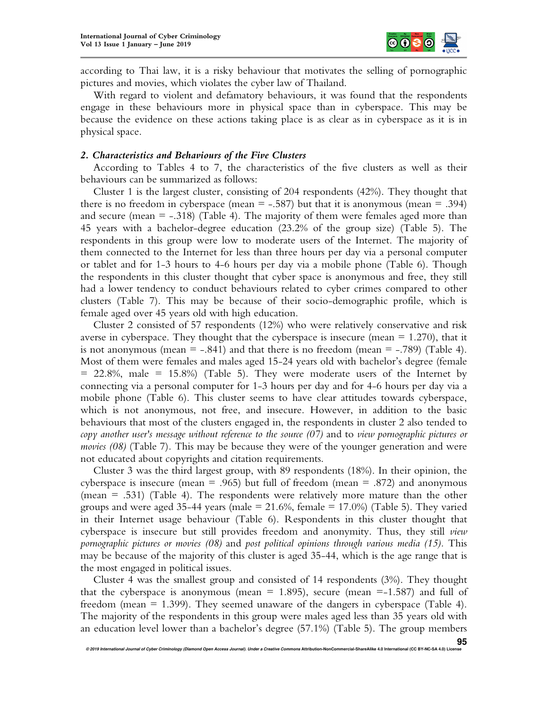

according to Thai law, it is a risky behaviour that motivates the selling of pornographic pictures and movies, which violates the cyber law of Thailand.

With regard to violent and defamatory behaviours, it was found that the respondents engage in these behaviours more in physical space than in cyberspace. This may be because the evidence on these actions taking place is as clear as in cyberspace as it is in physical space.

#### *2. Characteristics and Behaviours of the Five Clusters*

According to Tables 4 to 7, the characteristics of the five clusters as well as their behaviours can be summarized as follows:

Cluster 1 is the largest cluster, consisting of 204 respondents (42%). They thought that there is no freedom in cyberspace (mean  $=$  -.587) but that it is anonymous (mean  $=$  .394) and secure (mean  $=$  -.318) (Table 4). The majority of them were females aged more than 45 years with a bachelor-degree education (23.2% of the group size) (Table 5). The respondents in this group were low to moderate users of the Internet. The majority of them connected to the Internet for less than three hours per day via a personal computer or tablet and for 1-3 hours to 4-6 hours per day via a mobile phone (Table 6). Though the respondents in this cluster thought that cyber space is anonymous and free, they still had a lower tendency to conduct behaviours related to cyber crimes compared to other clusters (Table 7). This may be because of their socio-demographic profile, which is female aged over 45 years old with high education.

Cluster 2 consisted of 57 respondents (12%) who were relatively conservative and risk averse in cyberspace. They thought that the cyberspace is insecure (mean  $= 1.270$ ), that it is not anonymous (mean  $=$  -.841) and that there is no freedom (mean  $=$  -.789) (Table 4). Most of them were females and males aged 15-24 years old with bachelor's degree (female = 22.8%, male = 15.8%) (Table 5). They were moderate users of the Internet by connecting via a personal computer for 1-3 hours per day and for 4-6 hours per day via a mobile phone (Table 6). This cluster seems to have clear attitudes towards cyberspace, which is not anonymous, not free, and insecure. However, in addition to the basic behaviours that most of the clusters engaged in, the respondents in cluster 2 also tended to *copy another user's message without reference to the source (07)* and to *view pornographic pictures or movies (08)* (Table 7)*.* This may be because they were of the younger generation and were not educated about copyrights and citation requirements.

Cluster 3 was the third largest group, with 89 respondents (18%). In their opinion, the cyberspace is insecure (mean = .965) but full of freedom (mean = .872) and anonymous (mean = .531) (Table 4). The respondents were relatively more mature than the other groups and were aged 35-44 years (male  $= 21.6\%$ , female  $= 17.0\%$ ) (Table 5). They varied in their Internet usage behaviour (Table 6). Respondents in this cluster thought that cyberspace is insecure but still provides freedom and anonymity. Thus, they still *view pornographic pictures or movies (08)* and *post political opinions through various media (15).* This may be because of the majority of this cluster is aged 35-44, which is the age range that is the most engaged in political issues.

Cluster 4 was the smallest group and consisted of 14 respondents (3%). They thought that the cyberspace is anonymous (mean  $= 1.895$ ), secure (mean  $= -1.587$ ) and full of freedom (mean  $= 1.399$ ). They seemed unaware of the dangers in cyberspace (Table 4). The majority of the respondents in this group were males aged less than 35 years old with an education level lower than a bachelor's degree (57.1%) (Table 5). The group members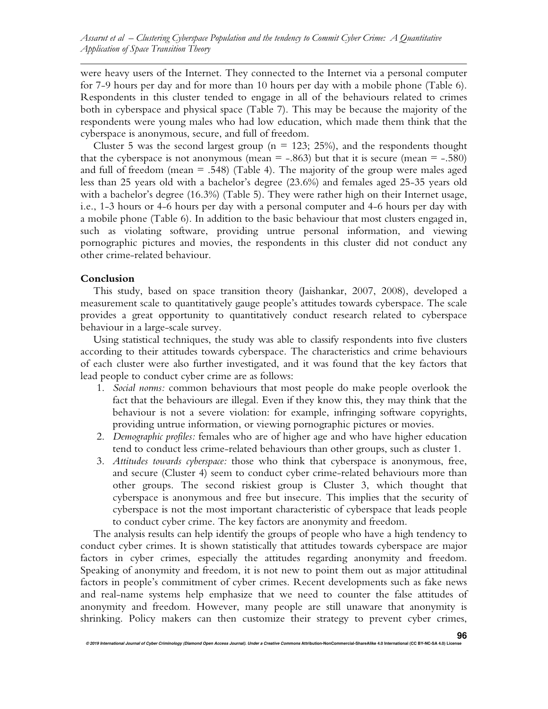were heavy users of the Internet. They connected to the Internet via a personal computer for 7-9 hours per day and for more than 10 hours per day with a mobile phone (Table 6). Respondents in this cluster tended to engage in all of the behaviours related to crimes both in cyberspace and physical space (Table 7). This may be because the majority of the respondents were young males who had low education, which made them think that the cyberspace is anonymous, secure, and full of freedom.

Cluster 5 was the second largest group ( $n = 123$ ; 25%), and the respondents thought that the cyberspace is not anonymous (mean  $=$  -.863) but that it is secure (mean  $=$  -.580) and full of freedom (mean  $=$  .548) (Table 4). The majority of the group were males aged less than 25 years old with a bachelor's degree (23.6%) and females aged 25-35 years old with a bachelor's degree (16.3%) (Table 5). They were rather high on their Internet usage, i.e., 1-3 hours or 4-6 hours per day with a personal computer and 4-6 hours per day with a mobile phone (Table 6). In addition to the basic behaviour that most clusters engaged in, such as violating software, providing untrue personal information, and viewing pornographic pictures and movies, the respondents in this cluster did not conduct any other crime-related behaviour.

#### **Conclusion**

This study, based on space transition theory (Jaishankar, 2007, 2008), developed a measurement scale to quantitatively gauge people's attitudes towards cyberspace. The scale provides a great opportunity to quantitatively conduct research related to cyberspace behaviour in a large-scale survey.

Using statistical techniques, the study was able to classify respondents into five clusters according to their attitudes towards cyberspace. The characteristics and crime behaviours of each cluster were also further investigated, and it was found that the key factors that lead people to conduct cyber crime are as follows:

- 1. *Social norms:* common behaviours that most people do make people overlook the fact that the behaviours are illegal. Even if they know this, they may think that the behaviour is not a severe violation: for example, infringing software copyrights, providing untrue information, or viewing pornographic pictures or movies.
- 2. *Demographic profiles:* females who are of higher age and who have higher education tend to conduct less crime-related behaviours than other groups, such as cluster 1.
- 3. *Attitudes towards cyberspace:* those who think that cyberspace is anonymous, free, and secure (Cluster 4) seem to conduct cyber crime-related behaviours more than other groups. The second riskiest group is Cluster 3, which thought that cyberspace is anonymous and free but insecure. This implies that the security of cyberspace is not the most important characteristic of cyberspace that leads people to conduct cyber crime. The key factors are anonymity and freedom.

The analysis results can help identify the groups of people who have a high tendency to conduct cyber crimes. It is shown statistically that attitudes towards cyberspace are major factors in cyber crimes, especially the attitudes regarding anonymity and freedom. Speaking of anonymity and freedom, it is not new to point them out as major attitudinal factors in people's commitment of cyber crimes. Recent developments such as fake news and real-name systems help emphasize that we need to counter the false attitudes of anonymity and freedom. However, many people are still unaware that anonymity is shrinking. Policy makers can then customize their strategy to prevent cyber crimes,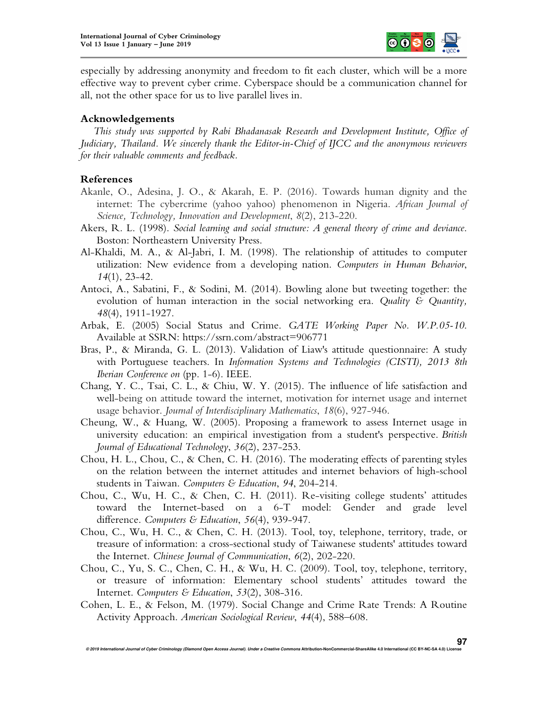

especially by addressing anonymity and freedom to fit each cluster, which will be a more effective way to prevent cyber crime. Cyberspace should be a communication channel for all, not the other space for us to live parallel lives in.

#### **Acknowledgements**

*This study was supported by Rabi Bhadanasak Research and Development Institute, Office of Judiciary, Thailand. We sincerely thank the Editor-in-Chief of IJCC and the anonymous reviewers for their valuable comments and feedback.* 

#### **References**

- Akanle, O., Adesina, J. O., & Akarah, E. P. (2016). Towards human dignity and the internet: The cybercrime (yahoo yahoo) phenomenon in Nigeria. *African Journal of Science, Technology, Innovation and Development*, *8*(2), 213-220.
- Akers, R. L. (1998). *Social learning and social structure: A general theory of crime and deviance*. Boston: Northeastern University Press.
- Al-Khaldi, M. A., & Al-Jabri, I. M. (1998). The relationship of attitudes to computer utilization: New evidence from a developing nation. *Computers in Human Behavior*, *14*(1), 23-42.
- Antoci, A., Sabatini, F., & Sodini, M. (2014). Bowling alone but tweeting together: the evolution of human interaction in the social networking era. *Quality & Quantity, 48*(4), 1911-1927.
- Arbak, E. (2005) Social Status and Crime. *GATE Working Paper No. W.P.05-10*. Available at SSRN: https://ssrn.com/abstract=906771
- Bras, P., & Miranda, G. L. (2013). Validation of Liaw's attitude questionnaire: A study with Portuguese teachers. In *Information Systems and Technologies (CISTI), 2013 8th Iberian Conference on* (pp. 1-6). IEEE.
- Chang, Y. C., Tsai, C. L., & Chiu, W. Y. (2015). The influence of life satisfaction and well-being on attitude toward the internet, motivation for internet usage and internet usage behavior. *Journal of Interdisciplinary Mathematics*, *18*(6), 927-946.
- Cheung, W., & Huang, W. (2005). Proposing a framework to assess Internet usage in university education: an empirical investigation from a student's perspective. *British Journal of Educational Technology*, *36*(2), 237-253.
- Chou, H. L., Chou, C., & Chen, C. H. (2016). The moderating effects of parenting styles on the relation between the internet attitudes and internet behaviors of high-school students in Taiwan. *Computers & Education*, *94*, 204-214.
- Chou, C., Wu, H. C., & Chen, C. H. (2011). Re-visiting college students' attitudes toward the Internet-based on a 6-T model: Gender and grade level difference. *Computers & Education*, *56*(4), 939-947.
- Chou, C., Wu, H. C., & Chen, C. H. (2013). Tool, toy, telephone, territory, trade, or treasure of information: a cross-sectional study of Taiwanese students' attitudes toward the Internet. *Chinese Journal of Communication*, *6*(2), 202-220.
- Chou, C., Yu, S. C., Chen, C. H., & Wu, H. C. (2009). Tool, toy, telephone, territory, or treasure of information: Elementary school students' attitudes toward the Internet. *Computers & Education*, *53*(2), 308-316.
- Cohen, L. E., & Felson, M. (1979). Social Change and Crime Rate Trends: A Routine Activity Approach. *American Sociological Review*, *44*(4), 588–608.

**© 2019 International Journal of Cyber Criminology (Diamond Open Access Journal). Under a Creative Commons Attribution-NonCommercial-ShareAlike 4.0 International (CC BY-NC-SA 4.0) License** 

**97**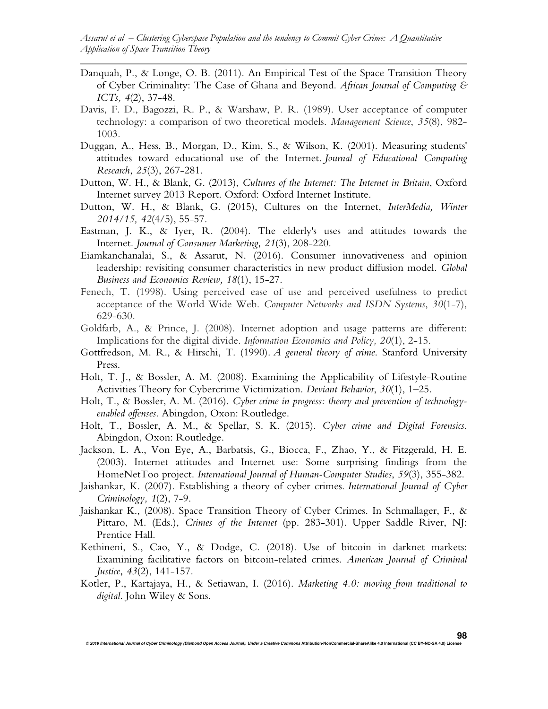- Danquah, P., & Longe, O. B. (2011). An Empirical Test of the Space Transition Theory of Cyber Criminality: The Case of Ghana and Beyond. *African Journal of Computing & ICTs, 4*(2), 37-48.
- Davis, F. D., Bagozzi, R. P., & Warshaw, P. R. (1989). User acceptance of computer technology: a comparison of two theoretical models. *Management Science*, *35*(8), 982- 1003.
- Duggan, A., Hess, B., Morgan, D., Kim, S., & Wilson, K. (2001). Measuring students' attitudes toward educational use of the Internet. *Journal of Educational Computing Research, 25*(3), 267-281.
- Dutton, W. H., & Blank, G. (2013), *Cultures of the Internet: The Internet in Britain*, Oxford Internet survey 2013 Report. Oxford: Oxford Internet Institute.
- Dutton, W. H., & Blank, G. (2015), Cultures on the Internet, *InterMedia, Winter 2014/15, 42*(4/5), 55-57.
- Eastman, J. K., & Iyer, R. (2004). The elderly's uses and attitudes towards the Internet. *Journal of Consumer Marketing, 21*(3), 208-220.
- Eiamkanchanalai, S., & Assarut, N. (2016). Consumer innovativeness and opinion leadership: revisiting consumer characteristics in new product diffusion model. *Global Business and Economics Review, 18*(1), 15-27.
- Fenech, T. (1998). Using perceived ease of use and perceived usefulness to predict acceptance of the World Wide Web. *Computer Networks and ISDN Systems*, *30*(1-7), 629-630.
- Goldfarb, A., & Prince, J. (2008). Internet adoption and usage patterns are different: Implications for the digital divide. *Information Economics and Policy, 20*(1), 2-15.
- Gottfredson, M. R., & Hirschi, T. (1990). *A general theory of crime*. Stanford University Press.
- Holt, T. J., & Bossler, A. M. (2008). Examining the Applicability of Lifestyle-Routine Activities Theory for Cybercrime Victimization. *Deviant Behavior*, *30*(1), 1–25.
- Holt, T., & Bossler, A. M. (2016). *Cyber crime in progress: theory and prevention of technologyenabled offenses*. Abingdon, Oxon: Routledge.
- Holt, T., Bossler, A. M., & Spellar, S. K. (2015). *Cyber crime and Digital Forensics*. Abingdon, Oxon: Routledge.
- Jackson, L. A., Von Eye, A., Barbatsis, G., Biocca, F., Zhao, Y., & Fitzgerald, H. E. (2003). Internet attitudes and Internet use: Some surprising findings from the HomeNetToo project. *International Journal of Human-Computer Studies*, *59*(3), 355-382.
- Jaishankar, K. (2007). Establishing a theory of cyber crimes. *International Journal of Cyber Criminology, 1*(2), 7-9.
- Jaishankar K., (2008). Space Transition Theory of Cyber Crimes. In Schmallager, F., & Pittaro, M. (Eds.), *Crimes of the Internet* (pp. 283-301). Upper Saddle River, NJ: Prentice Hall.
- Kethineni, S., Cao, Y., & Dodge, C. (2018). Use of bitcoin in darknet markets: Examining facilitative factors on bitcoin-related crimes. *American Journal of Criminal Justice, 43*(2), 141-157.
- Kotler, P., Kartajaya, H., & Setiawan, I. (2016). *Marketing 4.0: moving from traditional to digital*. John Wiley & Sons.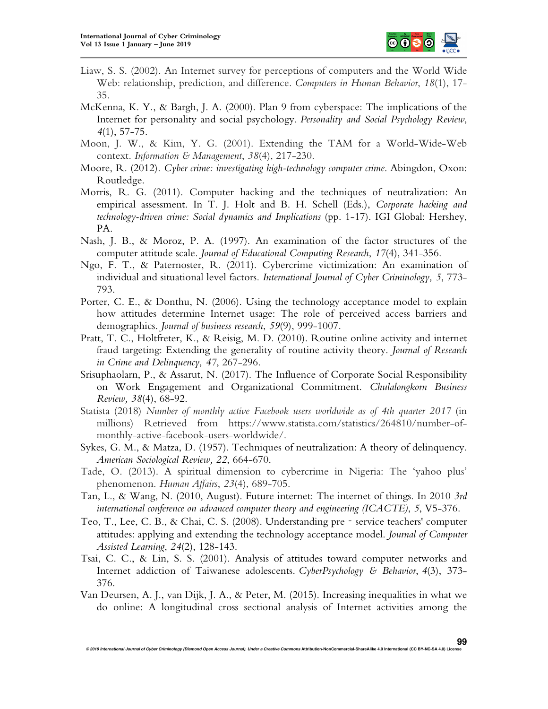

- Liaw, S. S. (2002). An Internet survey for perceptions of computers and the World Wide Web: relationship, prediction, and difference. *Computers in Human Behavior*, *18*(1), 17- 35.
- McKenna, K. Y., & Bargh, J. A. (2000). Plan 9 from cyberspace: The implications of the Internet for personality and social psychology. *Personality and Social Psychology Review*, *4*(1), 57-75.
- Moon, J. W., & Kim, Y. G. (2001). Extending the TAM for a World-Wide-Web context. *Information & Management*, *38*(4), 217-230.
- Moore, R. (2012). *Cyber crime: investigating high-technology computer crime*. Abingdon, Oxon: Routledge.
- Morris, R. G. (2011). Computer hacking and the techniques of neutralization: An empirical assessment. In T. J. Holt and B. H. Schell (Eds.), *Corporate hacking and technology-driven crime: Social dynamics and Implications* (pp. 1-17). IGI Global: Hershey, PA.
- Nash, J. B., & Moroz, P. A. (1997). An examination of the factor structures of the computer attitude scale. *Journal of Educational Computing Research*, *17*(4), 341-356.
- Ngo, F. T., & Paternoster, R. (2011). Cybercrime victimization: An examination of individual and situational level factors. *International Journal of Cyber Criminology, 5*, 773- 793.
- Porter, C. E., & Donthu, N. (2006). Using the technology acceptance model to explain how attitudes determine Internet usage: The role of perceived access barriers and demographics. *Journal of business research*, *59*(9), 999-1007.
- Pratt, T. C., Holtfreter, K., & Reisig, M. D. (2010). Routine online activity and internet fraud targeting: Extending the generality of routine activity theory. *Journal of Research in Crime and Delinquency, 47*, 267-296.
- Srisuphaolarn, P., & Assarut, N. (2017). The Influence of Corporate Social Responsibility on Work Engagement and Organizational Commitment. *Chulalongkorn Business Review, 38*(4), 68-92.
- Statista (2018) *Number of monthly active Facebook users worldwide as of 4th quarter 2017* (in millions) Retrieved from https://www.statista.com/statistics/264810/number-ofmonthly-active-facebook-users-worldwide/.
- Sykes, G. M., & Matza, D. (1957). Techniques of neutralization: A theory of delinquency. *American Sociological Review, 22*, 664-670.
- Tade, O. (2013). A spiritual dimension to cybercrime in Nigeria: The 'yahoo plus' phenomenon. *Human Affairs*, *23*(4), 689-705.
- Tan, L., & Wang, N. (2010, August). Future internet: The internet of things. In 2010 *3rd international conference on advanced computer theory and engineering (ICACTE)*, *5*, V5-376.
- Teo, T., Lee, C. B., & Chai, C. S. (2008). Understanding pre‐service teachers' computer attitudes: applying and extending the technology acceptance model. *Journal of Computer Assisted Learning*, *24*(2), 128-143.
- Tsai, C. C., & Lin, S. S. (2001). Analysis of attitudes toward computer networks and Internet addiction of Taiwanese adolescents. *CyberPsychology & Behavior*, *4*(3), 373- 376.
- Van Deursen, A. J., van Dijk, J. A., & Peter, M. (2015). Increasing inequalities in what we do online: A longitudinal cross sectional analysis of Internet activities among the